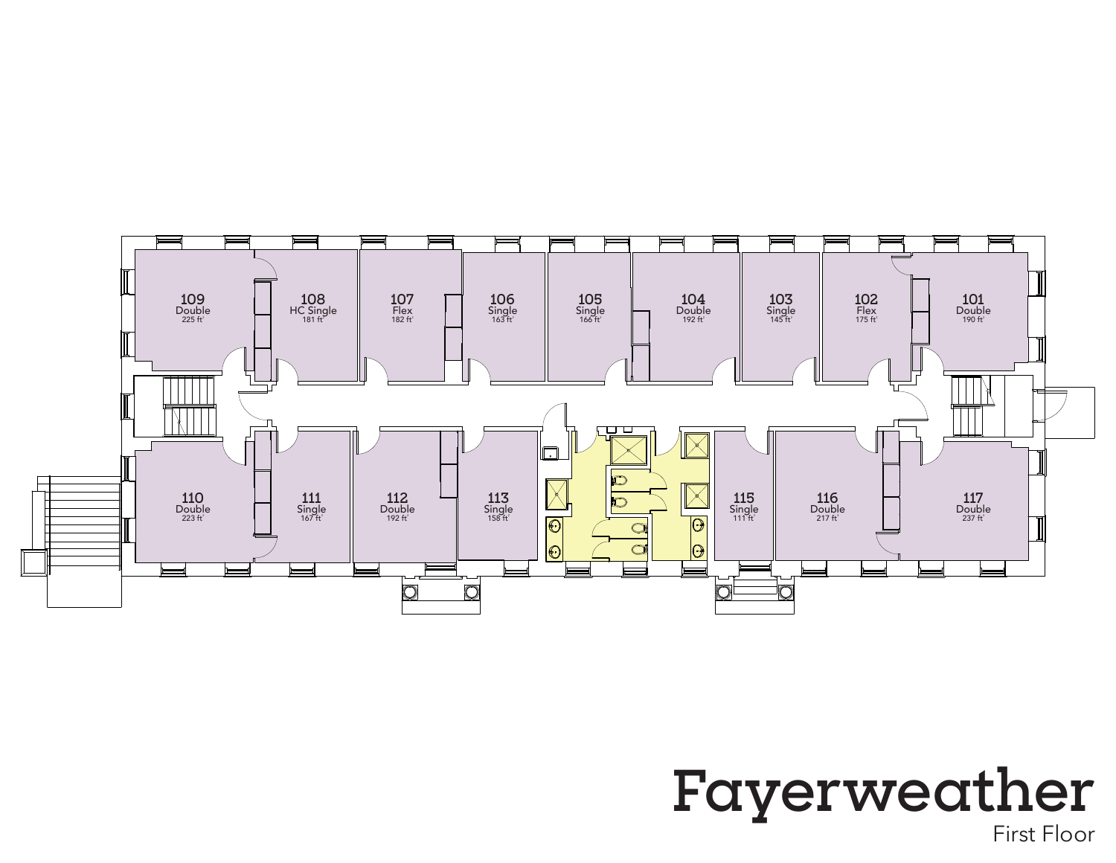## $\underset{225 \text{ ft}^2}{\text{Double}}$ 108  $107$ <br>Flex<br>182 ft<sup>2</sup>  $\frac{106}{\text{Single}}$ <br> $\frac{163 \text{ ft}^2}{163 \text{ ft}^2}$  $\frac{105}{\text{Single}}$ <br>166 ft  $\frac{104}{\text{Double}}$ <br> $\frac{192 \text{ ft}^2}{192 \text{ ft}^2}$  $\frac{103}{\text{Single}}$ <br> $\frac{145 \text{ ft}^2}{\text{ft}^2}$ 102<br>Flex<br>175 ft<sup>2</sup>  $\underset{190\,\mathrm{ft}^2}{\text{Double}}$  $HC$  Single<br>181 ft $^2$ N) <u>puru</u>  $\sum$  $\Box$  $\frac{1}{\mathcal{O}}$  $\overline{\mathbb{X}}$  $\underset{223}{\text{Double}}\ \text{Double}$  $\frac{111}{\text{Single}}$ <br>  $\frac{167 \text{ ft}^2}{167 \text{ ft}^2}$  $\underset{192\,\mathrm{ft}^2}{\text{Double}}$  $\frac{113}{\text{Single}}$ <br>158 ft  $\frac{115}{\text{Single}}$  $\underset{\substack{\text{Double} \\ \text{217 ft}^2}}{\text{116}}$  $\underset{\substack{\text{Double} \\ \text{237 ft}^2}}{\text{117}}$  $\overline{\bigcirc}$  $\boxed{\textcolor{blue}{\textcolor{blue}{\mathbf{O}}}}$  $\circ$  $\circ$  $|\Theta\>$  $\overline{O}$  $\overline{\mathsf{O}}$  $\overline{O}$ O

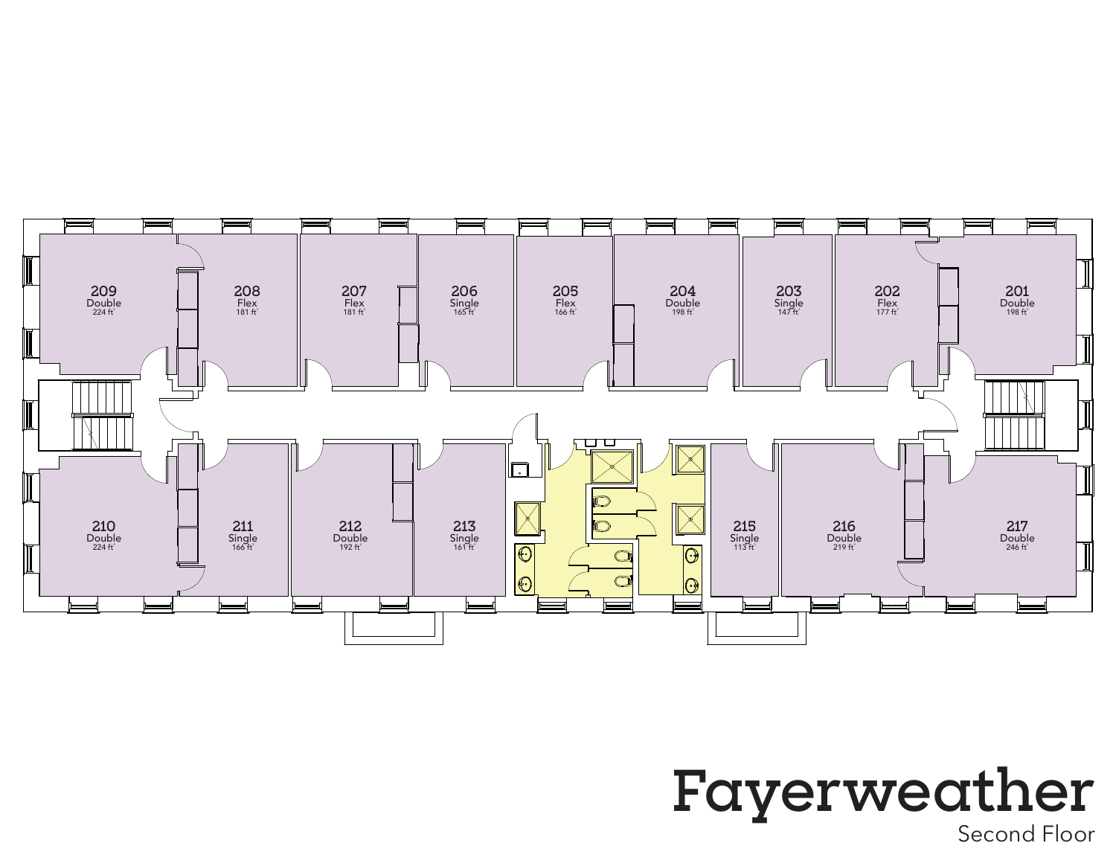

## Second Floor Fayerweather